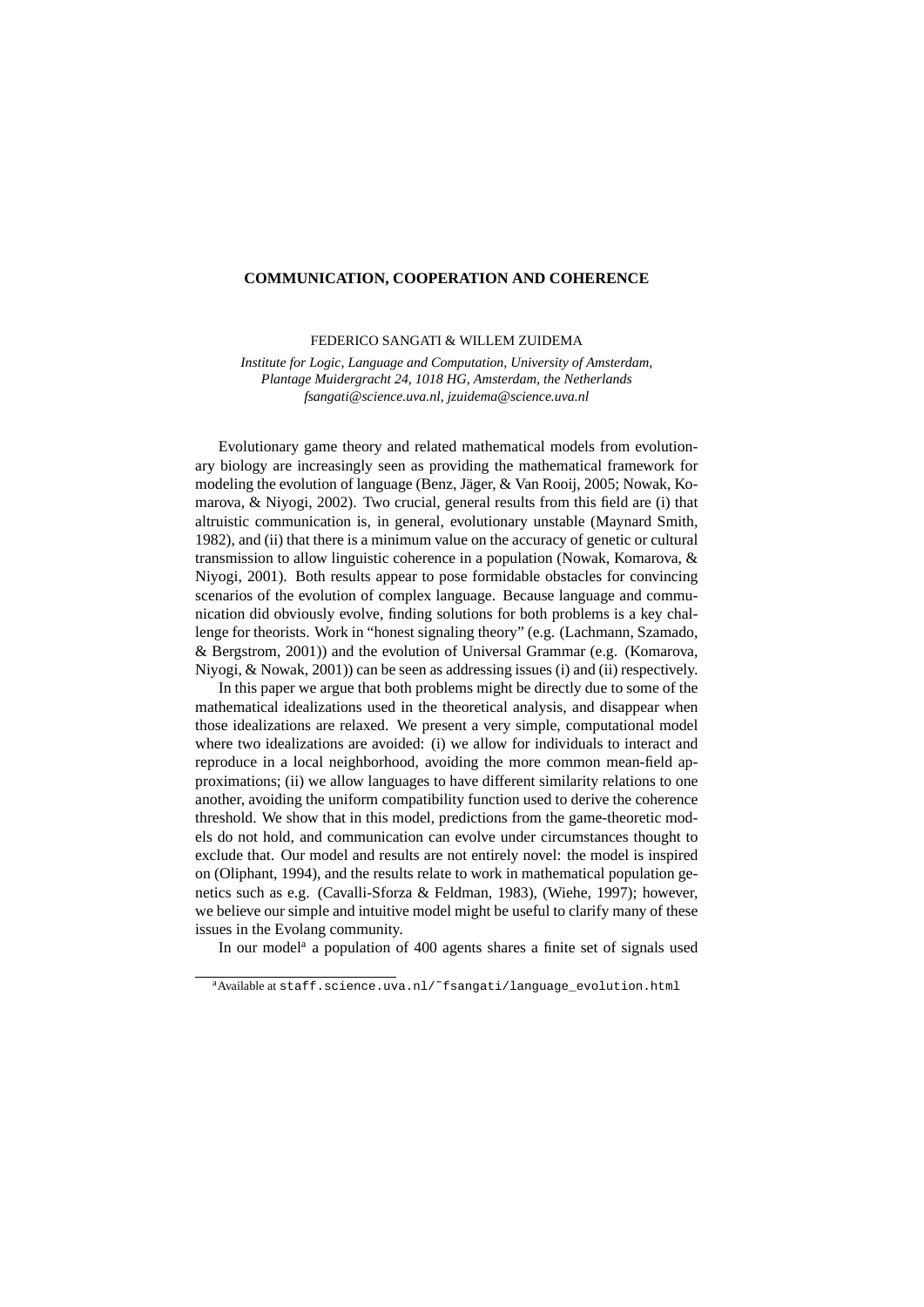## **COMMUNICATION, COOPERATION AND COHERENCE**

FEDERICO SANGATI & WILLEM ZUIDEMA

*Institute for Logic, Language and Computation, University of Amsterdam, Plantage Muidergracht 24, 1018 HG, Amsterdam, the Netherlands fsangati@science.uva.nl, jzuidema@science.uva.nl*

Evolutionary game theory and related mathematical models from evolutionary biology are increasingly seen as providing the mathematical framework for modeling the evolution of language (Benz, Jäger, & Van Rooij, 2005; Nowak, Komarova, & Niyogi, 2002). Two crucial, general results from this field are (i) that altruistic communication is, in general, evolutionary unstable (Maynard Smith, 1982), and (ii) that there is a minimum value on the accuracy of genetic or cultural transmission to allow linguistic coherence in a population (Nowak, Komarova, & Niyogi, 2001). Both results appear to pose formidable obstacles for convincing scenarios of the evolution of complex language. Because language and communication did obviously evolve, finding solutions for both problems is a key challenge for theorists. Work in "honest signaling theory" (e.g. (Lachmann, Szamado, & Bergstrom, 2001)) and the evolution of Universal Grammar (e.g. (Komarova, Niyogi, & Nowak, 2001)) can be seen as addressing issues (i) and (ii) respectively.

In this paper we argue that both problems might be directly due to some of the mathematical idealizations used in the theoretical analysis, and disappear when those idealizations are relaxed. We present a very simple, computational model where two idealizations are avoided: (i) we allow for individuals to interact and reproduce in a local neighborhood, avoiding the more common mean-field approximations; (ii) we allow languages to have different similarity relations to one another, avoiding the uniform compatibility function used to derive the coherence threshold. We show that in this model, predictions from the game-theoretic models do not hold, and communication can evolve under circumstances thought to exclude that. Our model and results are not entirely novel: the model is inspired on (Oliphant, 1994), and the results relate to work in mathematical population genetics such as e.g. (Cavalli-Sforza & Feldman, 1983), (Wiehe, 1997); however, we believe our simple and intuitive model might be useful to clarify many of these issues in the Evolang community.

In our model<sup>a</sup> a population of 400 agents shares a finite set of signals used

<sup>&</sup>lt;sup>a</sup>Available at staff.science.uva.nl/~fsangati/language\_evolution.html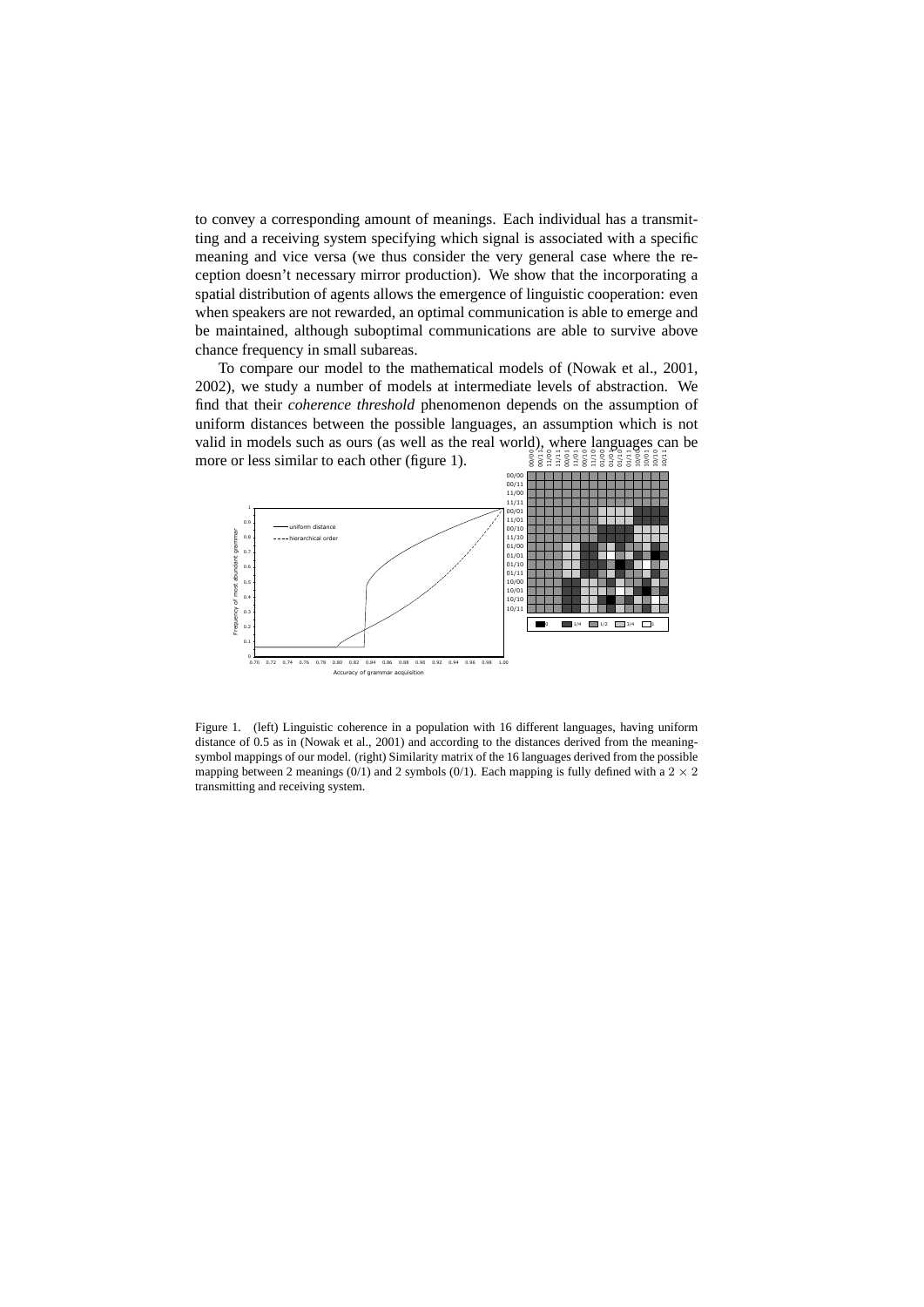to convey a corresponding amount of meanings. Each individual has a transmitting and a receiving system specifying which signal is associated with a specific meaning and vice versa (we thus consider the very general case where the reception doesn't necessary mirror production). We show that the incorporating a spatial distribution of agents allows the emergence of linguistic cooperation: even when speakers are not rewarded, an optimal communication is able to emerge and be maintained, although suboptimal communications are able to survive above chance frequency in small subareas.

To compare our model to the mathematical models of (Nowak et al., 2001, 2002), we study a number of models at intermediate levels of abstraction. We find that their *coherence threshold* phenomenon depends on the assumption of uniform distances between the possible languages, an assumption which is not valid in models such as ours (as well as the real world), where languages can be more or less similar to each other (figure 1). 00/00 00/11 11/00 11/11 00/01 11/01 00/10 11/10 01/00 01/01 01/10 01/11 10/00 10/01 10/10 10/11



Figure 1. (left) Linguistic coherence in a population with 16 different languages, having uniform distance of 0.5 as in (Nowak et al., 2001) and according to the distances derived from the meaningsymbol mappings of our model. (right) Similarity matrix of the 16 languages derived from the possible mapping between 2 meanings (0/1) and 2 symbols (0/1). Each mapping is fully defined with a  $2 \times 2$ transmitting and receiving system.